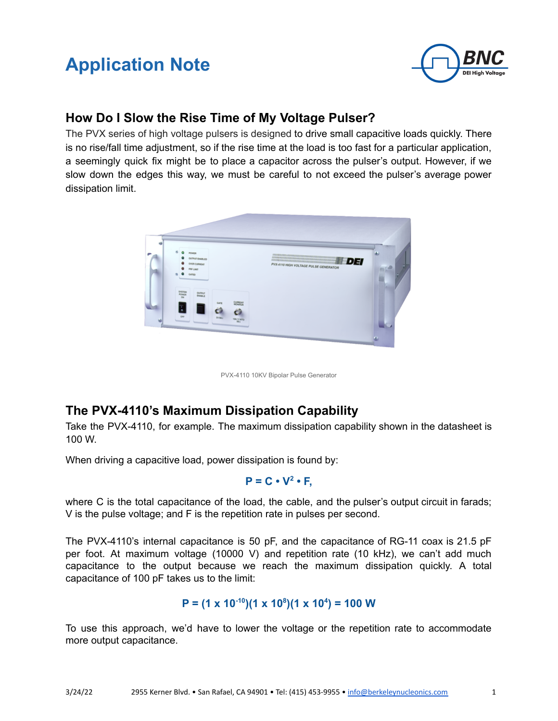# **Application Note**



## **How Do I Slow the Rise Time of My Voltage Pulser?**

The PVX series of high voltage pulsers is designed to drive small capacitive loads quickly. There is no rise/fall time adjustment, so if the rise time at the load is too fast for a particular application, a seemingly quick fix might be to place a capacitor across the pulser's output. However, if we slow down the edges this way, we must be careful to not exceed the pulser's average power dissipation limit.



PVX-4110 10KV Bipolar Pulse Generator

## **The PVX-4110's Maximum Dissipation Capability**

Take the PVX-4110, for example. The maximum dissipation capability shown in the datasheet is 100 W.

When driving a capacitive load, power dissipation is found by:

 $P = C \cdot V^2 \cdot F$ 

where C is the total capacitance of the load, the cable, and the pulser's output circuit in farads; V is the pulse voltage; and F is the repetition rate in pulses per second.

The PVX-4110's internal capacitance is 50 pF, and the capacitance of RG-11 coax is 21.5 pF per foot. At maximum voltage (10000 V) and repetition rate (10 kHz), we can't add much capacitance to the output because we reach the maximum dissipation quickly. A total capacitance of 100 pF takes us to the limit:

### $P = (1 \times 10^{-10})(1 \times 10^8)(1 \times 10^4) = 100$  W

To use this approach, we'd have to lower the voltage or the repetition rate to accommodate more output capacitance.